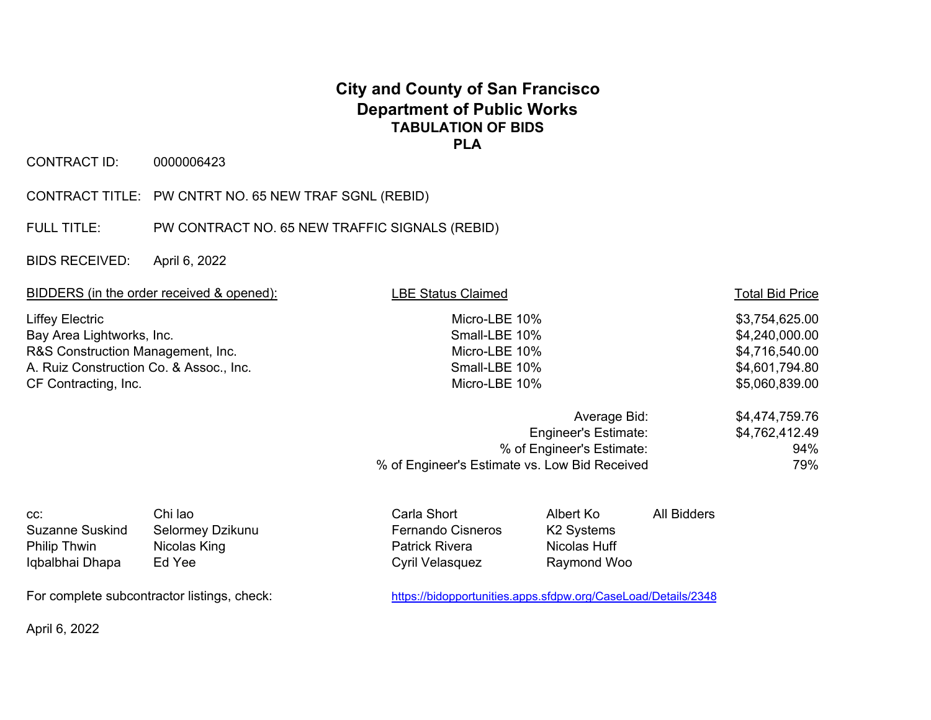## **City and County of San Francisco Department of Public Works TABULATION OF BIDS PLA**

CONTRACT ID: 0000006423

CONTRACT TITLE: PW CNTRT NO. 65 NEW TRAF SGNL (REBID)

FULL TITLE: PW CONTRACT NO. 65 NEW TRAFFIC SIGNALS (REBID)

BIDS RECEIVED: April 6, 2022

| BIDDERS (in the order received & opened):                                                                                                                   |                                                       | <b>BE Status Claimed</b>                                                            | <b>Total Bid Price</b>                                                                 |                    |  |
|-------------------------------------------------------------------------------------------------------------------------------------------------------------|-------------------------------------------------------|-------------------------------------------------------------------------------------|----------------------------------------------------------------------------------------|--------------------|--|
| <b>Liffey Electric</b><br>Bay Area Lightworks, Inc.<br>R&S Construction Management, Inc.<br>A. Ruiz Construction Co. & Assoc., Inc.<br>CF Contracting, Inc. |                                                       | Micro-LBE 10%<br>Small-LBE 10%<br>Micro-LBE 10%<br>Small-LBE 10%<br>Micro-LBE 10%   | \$3,754,625.00<br>\$4,240,000.00<br>\$4,716,540.00<br>\$4,601,794.80<br>\$5,060,839.00 |                    |  |
|                                                                                                                                                             |                                                       | % of Engineer's Estimate:<br>% of Engineer's Estimate vs. Low Bid Received          | \$4,474,759.76<br>\$4,762,412.49<br>94%<br>79%                                         |                    |  |
| CC:<br><b>Suzanne Suskind</b><br>Philip Thwin<br>Iqbalbhai Dhapa                                                                                            | Chi lao<br>Selormey Dzikunu<br>Nicolas King<br>Ed Yee | Carla Short<br><b>Fernando Cisneros</b><br><b>Patrick Rivera</b><br>Cyril Velasquez | Albert Ko<br>K <sub>2</sub> Systems<br>Nicolas Huff<br>Raymond Woo                     | <b>All Bidders</b> |  |
| For complete subcontractor listings, check:                                                                                                                 |                                                       | https://bidopportunities.apps.sfdpw.org/CaseLoad/Details/2348                       |                                                                                        |                    |  |

April 6, 2022